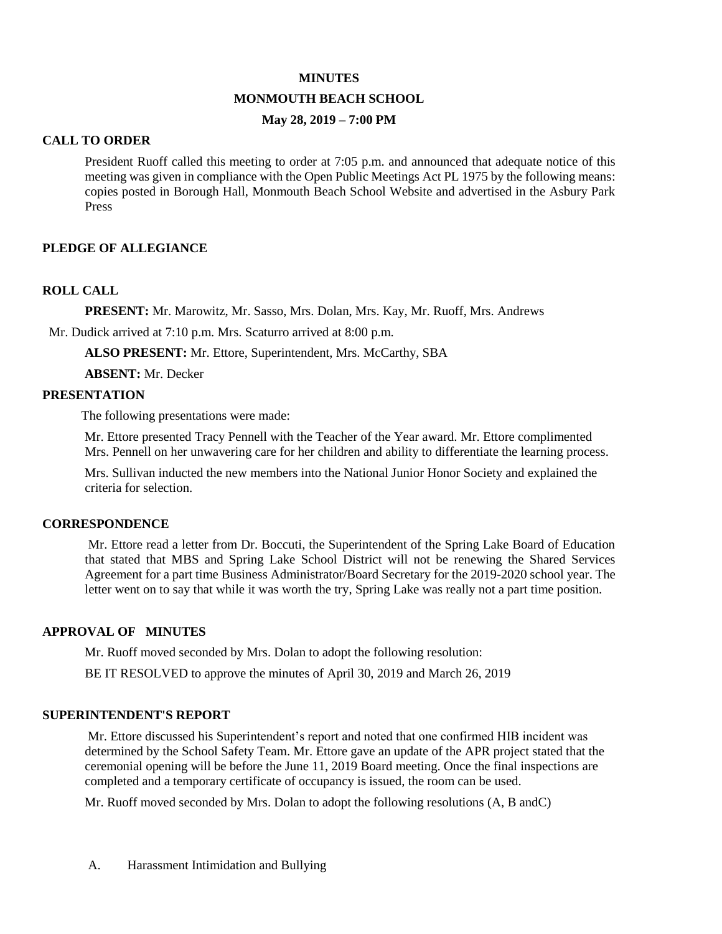#### **MINUTES**

### **MONMOUTH BEACH SCHOOL**

### **May 28, 2019 – 7:00 PM**

#### **CALL TO ORDER**

President Ruoff called this meeting to order at 7:05 p.m. and announced that adequate notice of this meeting was given in compliance with the Open Public Meetings Act PL 1975 by the following means: copies posted in Borough Hall, Monmouth Beach School Website and advertised in the Asbury Park Press

### **PLEDGE OF ALLEGIANCE**

#### **ROLL CALL**

**PRESENT:** Mr. Marowitz, Mr. Sasso, Mrs. Dolan, Mrs. Kay, Mr. Ruoff, Mrs. Andrews

Mr. Dudick arrived at 7:10 p.m. Mrs. Scaturro arrived at 8:00 p.m.

**ALSO PRESENT:** Mr. Ettore, Superintendent, Mrs. McCarthy, SBA

 **ABSENT:** Mr. Decker

### **PRESENTATION**

The following presentations were made:

 Mr. Ettore presented Tracy Pennell with the Teacher of the Year award. Mr. Ettore complimented Mrs. Pennell on her unwavering care for her children and ability to differentiate the learning process.

 Mrs. Sullivan inducted the new members into the National Junior Honor Society and explained the criteria for selection.

#### **CORRESPONDENCE**

Mr. Ettore read a letter from Dr. Boccuti, the Superintendent of the Spring Lake Board of Education that stated that MBS and Spring Lake School District will not be renewing the Shared Services Agreement for a part time Business Administrator/Board Secretary for the 2019-2020 school year. The letter went on to say that while it was worth the try, Spring Lake was really not a part time position.

#### **APPROVAL OF MINUTES**

Mr. Ruoff moved seconded by Mrs. Dolan to adopt the following resolution:

BE IT RESOLVED to approve the minutes of April 30, 2019 and March 26, 2019

#### **SUPERINTENDENT'S REPORT**

 Mr. Ettore discussed his Superintendent's report and noted that one confirmed HIB incident was determined by the School Safety Team. Mr. Ettore gave an update of the APR project stated that the ceremonial opening will be before the June 11, 2019 Board meeting. Once the final inspections are completed and a temporary certificate of occupancy is issued, the room can be used.

Mr. Ruoff moved seconded by Mrs. Dolan to adopt the following resolutions (A, B andC)

A. Harassment Intimidation and Bullying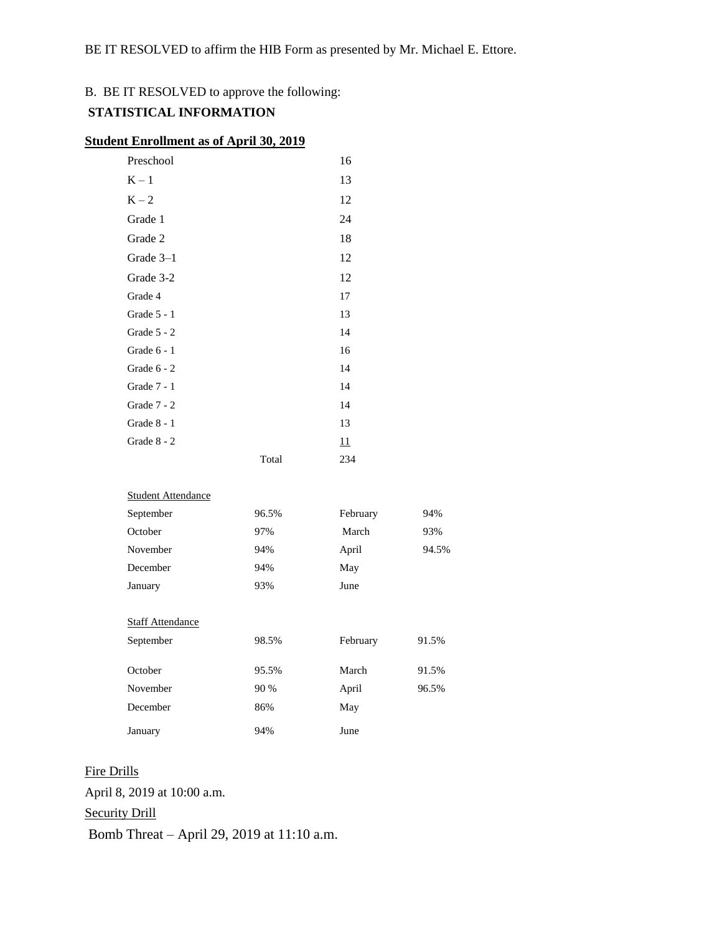## B. BE IT RESOLVED to approve the following:

## **STATISTICAL INFORMATION**

### **Student Enrollment as of April 30, 2019**

| Preschool     |       | 16        |
|---------------|-------|-----------|
| $K-1$         |       | 13        |
| $K - 2$       |       | 12        |
| Grade 1       |       | 24        |
| Grade 2       |       | 18        |
| Grade 3-1     |       | 12        |
| Grade 3-2     |       | 12        |
| Grade 4       |       | 17        |
| Grade 5 - 1   |       | 13        |
| Grade $5 - 2$ |       | 14        |
| Grade $6 - 1$ |       | 16        |
| Grade $6 - 2$ |       | 14        |
| Grade 7 - 1   |       | 14        |
| Grade $7 - 2$ |       | 14        |
| Grade $8 - 1$ |       | 13        |
| Grade 8 - 2   |       | <u>11</u> |
|               | Total | 234       |

#### Student Attendance

| September               | 96.5% | February | 94%   |
|-------------------------|-------|----------|-------|
| October                 | 97%   | March    | 93%   |
| November                | 94%   | April    | 94.5% |
| December                | 94%   | May      |       |
| January                 | 93%   | June     |       |
|                         |       |          |       |
| <b>Staff Attendance</b> |       |          |       |
| September               | 98.5% | February | 91.5% |
|                         |       |          |       |
| October                 | 95.5% | March    | 91.5% |
| November                | 90 %  | April    | 96.5% |
| December                | 86%   | May      |       |

January 94% June Fire Drills April 8, 2019 at 10:00 a.m. Security Drill

Bomb Threat – April 29, 2019 at 11:10 a.m.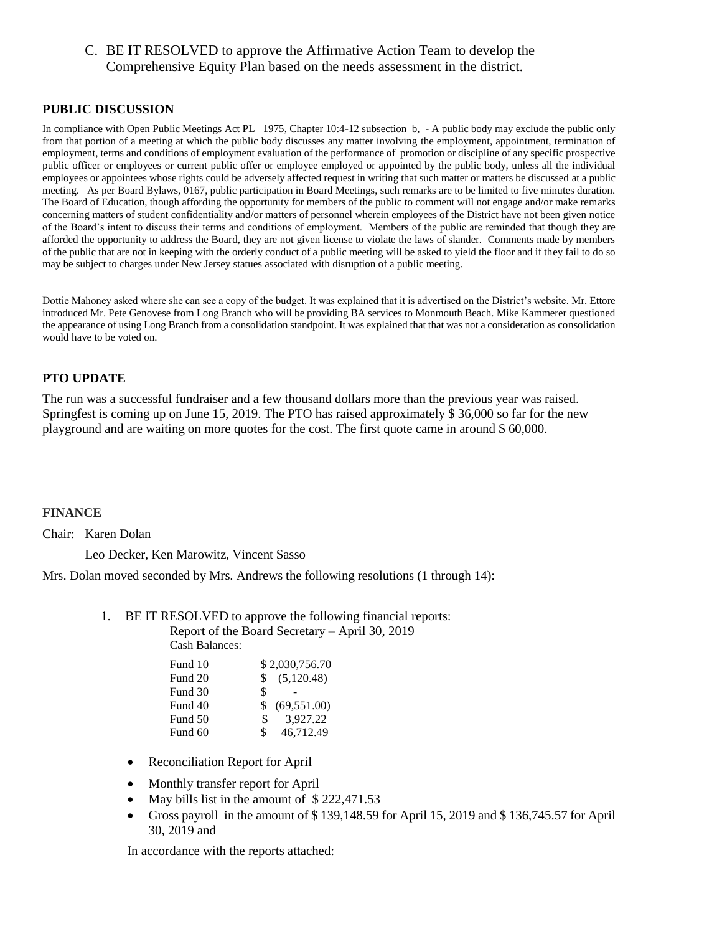## C. BE IT RESOLVED to approve the Affirmative Action Team to develop the Comprehensive Equity Plan based on the needs assessment in the district.

### **PUBLIC DISCUSSION**

In compliance with Open Public Meetings Act PL 1975, Chapter 10:4-12 subsection b, - A public body may exclude the public only from that portion of a meeting at which the public body discusses any matter involving the employment, appointment, termination of employment, terms and conditions of employment evaluation of the performance of promotion or discipline of any specific prospective public officer or employees or current public offer or employee employed or appointed by the public body, unless all the individual employees or appointees whose rights could be adversely affected request in writing that such matter or matters be discussed at a public meeting. As per Board Bylaws, 0167, public participation in Board Meetings, such remarks are to be limited to five minutes duration. The Board of Education, though affording the opportunity for members of the public to comment will not engage and/or make remarks concerning matters of student confidentiality and/or matters of personnel wherein employees of the District have not been given notice of the Board's intent to discuss their terms and conditions of employment. Members of the public are reminded that though they are afforded the opportunity to address the Board, they are not given license to violate the laws of slander. Comments made by members of the public that are not in keeping with the orderly conduct of a public meeting will be asked to yield the floor and if they fail to do so may be subject to charges under New Jersey statues associated with disruption of a public meeting.

Dottie Mahoney asked where she can see a copy of the budget. It was explained that it is advertised on the District's website. Mr. Ettore introduced Mr. Pete Genovese from Long Branch who will be providing BA services to Monmouth Beach. Mike Kammerer questioned the appearance of using Long Branch from a consolidation standpoint. It was explained that that was not a consideration as consolidation would have to be voted on.

### **PTO UPDATE**

The run was a successful fundraiser and a few thousand dollars more than the previous year was raised. Springfest is coming up on June 15, 2019. The PTO has raised approximately \$ 36,000 so far for the new playground and are waiting on more quotes for the cost. The first quote came in around \$ 60,000.

#### **FINANCE**

Chair: Karen Dolan

Leo Decker, Ken Marowitz, Vincent Sasso

Mrs. Dolan moved seconded by Mrs. Andrews the following resolutions (1 through 14):

1. BE IT RESOLVED to approve the following financial reports:

Report of the Board Secretary – April 30, 2019 Cash Balances:

| Fund 10 | \$2,030,756.70     |
|---------|--------------------|
| Fund 20 | (5,120.48)<br>\$   |
| Fund 30 | \$                 |
| Fund 40 | (69, 551.00)<br>\$ |
| Fund 50 | 3.927.22<br>S.     |
| Fund 60 | 46,712.49<br>\$    |

- Reconciliation Report for April
- Monthly transfer report for April
- May bills list in the amount of \$222,471.53
- Gross payroll in the amount of \$ 139,148.59 for April 15, 2019 and \$ 136,745.57 for April 30, 2019 and

In accordance with the reports attached: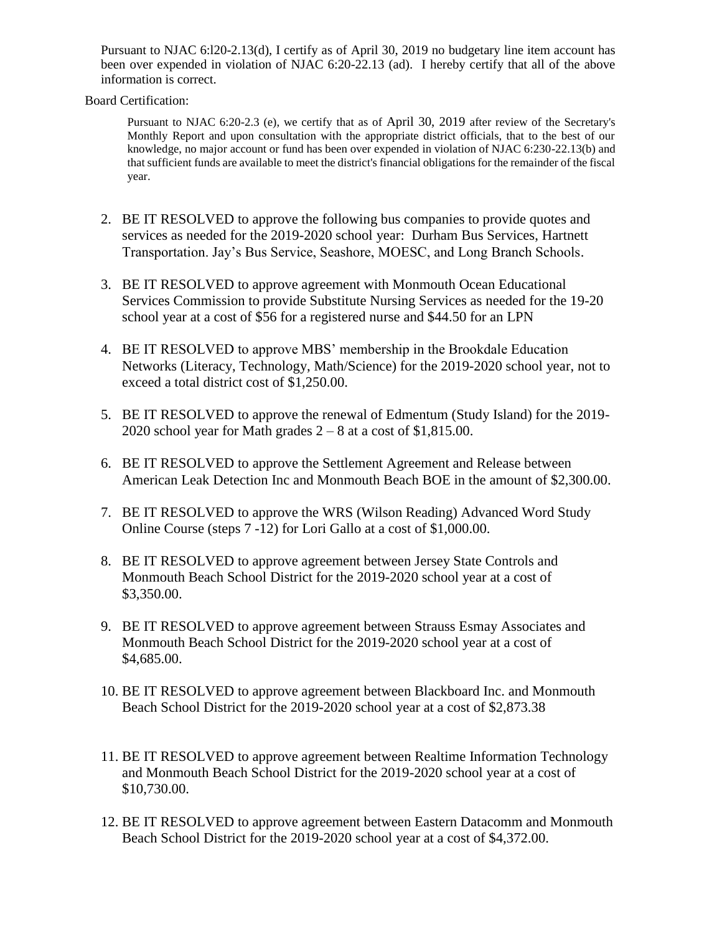Pursuant to NJAC 6:l20-2.13(d), I certify as of April 30, 2019 no budgetary line item account has been over expended in violation of NJAC 6:20-22.13 (ad). I hereby certify that all of the above information is correct.

Board Certification:

Pursuant to NJAC 6:20-2.3 (e), we certify that as of April 30, 2019 after review of the Secretary's Monthly Report and upon consultation with the appropriate district officials, that to the best of our knowledge, no major account or fund has been over expended in violation of NJAC 6:230-22.13(b) and that sufficient funds are available to meet the district's financial obligations for the remainder of the fiscal year.

- 2. BE IT RESOLVED to approve the following bus companies to provide quotes and services as needed for the 2019-2020 school year: Durham Bus Services, Hartnett Transportation. Jay's Bus Service, Seashore, MOESC, and Long Branch Schools.
- 3. BE IT RESOLVED to approve agreement with Monmouth Ocean Educational Services Commission to provide Substitute Nursing Services as needed for the 19-20 school year at a cost of \$56 for a registered nurse and \$44.50 for an LPN
- 4. BE IT RESOLVED to approve MBS' membership in the Brookdale Education Networks (Literacy, Technology, Math/Science) for the 2019-2020 school year, not to exceed a total district cost of \$1,250.00.
- 5. BE IT RESOLVED to approve the renewal of Edmentum (Study Island) for the 2019- 2020 school year for Math grades  $2 - 8$  at a cost of \$1,815.00.
- 6. BE IT RESOLVED to approve the Settlement Agreement and Release between American Leak Detection Inc and Monmouth Beach BOE in the amount of \$2,300.00.
- 7. BE IT RESOLVED to approve the WRS (Wilson Reading) Advanced Word Study Online Course (steps 7 -12) for Lori Gallo at a cost of \$1,000.00.
- 8. BE IT RESOLVED to approve agreement between Jersey State Controls and Monmouth Beach School District for the 2019-2020 school year at a cost of \$3,350.00.
- 9. BE IT RESOLVED to approve agreement between Strauss Esmay Associates and Monmouth Beach School District for the 2019-2020 school year at a cost of \$4,685.00.
- 10. BE IT RESOLVED to approve agreement between Blackboard Inc. and Monmouth Beach School District for the 2019-2020 school year at a cost of \$2,873.38
- 11. BE IT RESOLVED to approve agreement between Realtime Information Technology and Monmouth Beach School District for the 2019-2020 school year at a cost of \$10,730.00.
- 12. BE IT RESOLVED to approve agreement between Eastern Datacomm and Monmouth Beach School District for the 2019-2020 school year at a cost of \$4,372.00.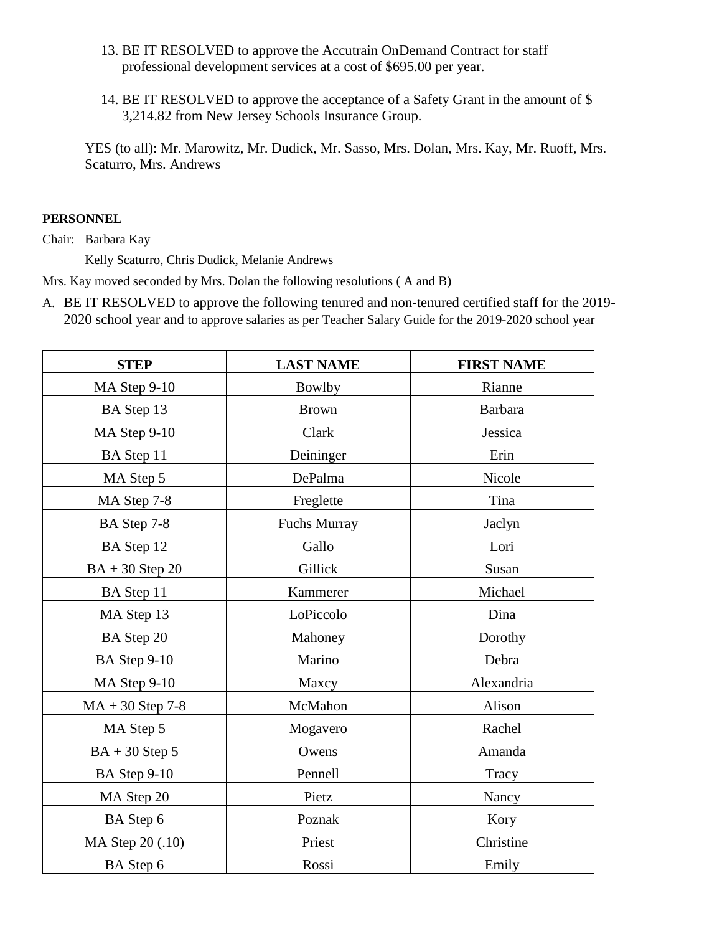- 13. BE IT RESOLVED to approve the Accutrain OnDemand Contract for staff professional development services at a cost of \$695.00 per year.
- 14. BE IT RESOLVED to approve the acceptance of a Safety Grant in the amount of \$ 3,214.82 from New Jersey Schools Insurance Group.

YES (to all): Mr. Marowitz, Mr. Dudick, Mr. Sasso, Mrs. Dolan, Mrs. Kay, Mr. Ruoff, Mrs. Scaturro, Mrs. Andrews

### **PERSONNEL**

Chair: Barbara Kay

Kelly Scaturro, Chris Dudick, Melanie Andrews

Mrs. Kay moved seconded by Mrs. Dolan the following resolutions ( A and B)

A. BE IT RESOLVED to approve the following tenured and non-tenured certified staff for the 2019- 2020 school year and to approve salaries as per Teacher Salary Guide for the 2019-2020 school year

| <b>STEP</b>        | <b>LAST NAME</b>    | <b>FIRST NAME</b> |
|--------------------|---------------------|-------------------|
| MA Step 9-10       | <b>Bowlby</b>       | Rianne            |
| BA Step 13         | <b>Brown</b>        | <b>Barbara</b>    |
| MA Step 9-10       | Clark               | Jessica           |
| BA Step 11         | Deininger           | Erin              |
| MA Step 5          | DePalma             | Nicole            |
| MA Step 7-8        | Freglette           | Tina              |
| BA Step 7-8        | <b>Fuchs Murray</b> | Jaclyn            |
| BA Step 12         | Gallo               | Lori              |
| $BA + 30$ Step 20  | Gillick             | Susan             |
| BA Step 11         | Kammerer            | Michael           |
| MA Step 13         | LoPiccolo           | Dina              |
| BA Step 20         | Mahoney             | Dorothy           |
| BA Step 9-10       | Marino              | Debra             |
| MA Step 9-10       | Maxcy               | Alexandria        |
| $MA + 30$ Step 7-8 | McMahon             | Alison            |
| MA Step 5          | Mogavero            | Rachel            |
| $BA + 30$ Step 5   | Owens               | Amanda            |
| BA Step 9-10       | Pennell             | Tracy             |
| MA Step 20         | Pietz               | Nancy             |
| BA Step 6          | Poznak              | Kory              |
| MA Step 20 (.10)   | Priest              | Christine         |
| BA Step 6          | Rossi               | Emily             |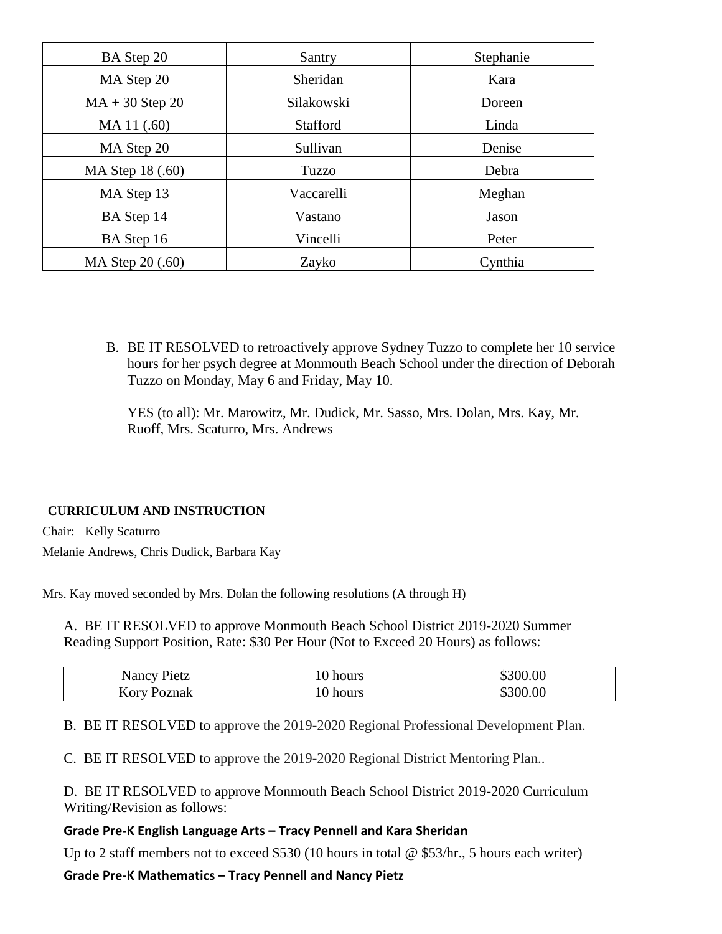| BA Step 20        | Santry          | Stephanie |
|-------------------|-----------------|-----------|
| MA Step 20        | Sheridan        | Kara      |
| $MA + 30$ Step 20 | Silakowski      | Doreen    |
| MA 11 (.60)       | <b>Stafford</b> | Linda     |
| MA Step 20        | Sullivan        | Denise    |
| MA Step 18 (.60)  | Tuzzo           | Debra     |
| MA Step 13        | Vaccarelli      | Meghan    |
| BA Step 14        | Vastano         | Jason     |
| BA Step 16        | Vincelli        | Peter     |
| MA Step 20 (.60)  | Zayko           | Cynthia   |

B. BE IT RESOLVED to retroactively approve Sydney Tuzzo to complete her 10 service hours for her psych degree at Monmouth Beach School under the direction of Deborah Tuzzo on Monday, May 6 and Friday, May 10.

YES (to all): Mr. Marowitz, Mr. Dudick, Mr. Sasso, Mrs. Dolan, Mrs. Kay, Mr. Ruoff, Mrs. Scaturro, Mrs. Andrews

## **CURRICULUM AND INSTRUCTION**

Chair: Kelly Scaturro

Melanie Andrews, Chris Dudick, Barbara Kay

Mrs. Kay moved seconded by Mrs. Dolan the following resolutions (A through H)

A. BE IT RESOLVED to approve Monmouth Beach School District 2019-2020 Summer Reading Support Position, Rate: \$30 Per Hour (Not to Exceed 20 Hours) as follows:

| Nancy Pietz        | hours | 300.00<br>D. |
|--------------------|-------|--------------|
| <b>Kory Poznak</b> | hours | 300.00       |

B. BE IT RESOLVED to approve the 2019-2020 Regional Professional Development Plan.

C. BE IT RESOLVED to approve the 2019-2020 Regional District Mentoring Plan..

D. BE IT RESOLVED to approve Monmouth Beach School District 2019-2020 Curriculum Writing/Revision as follows:

## **Grade Pre-K English Language Arts – Tracy Pennell and Kara Sheridan**

Up to 2 staff members not to exceed \$530 (10 hours in total @ \$53/hr., 5 hours each writer)

**Grade Pre-K Mathematics – Tracy Pennell and Nancy Pietz**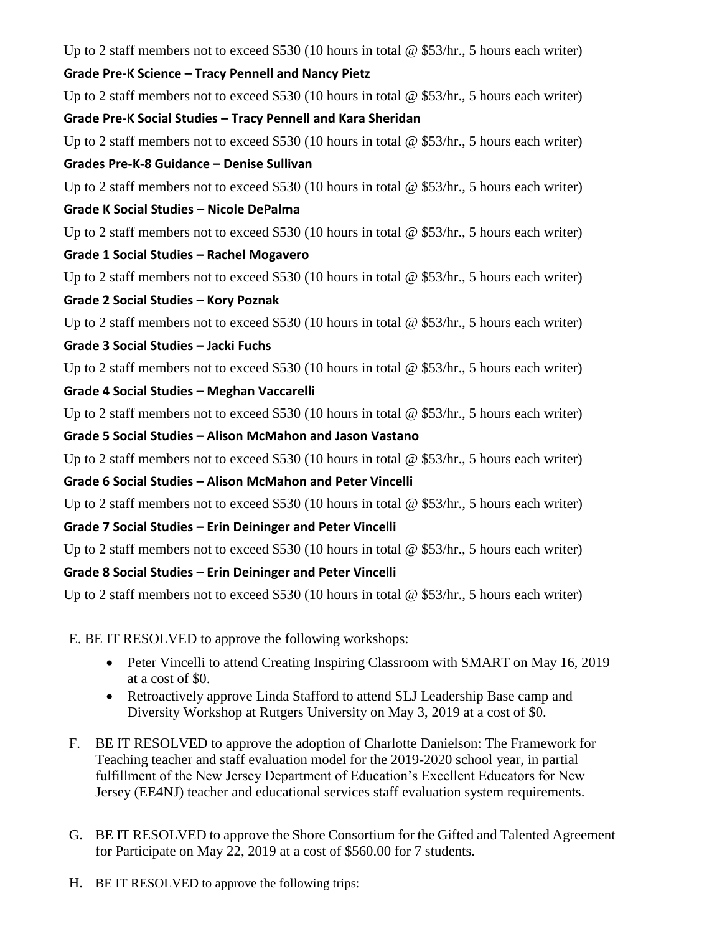Up to 2 staff members not to exceed \$530 (10 hours in total @ \$53/hr., 5 hours each writer)

## **Grade Pre-K Science – Tracy Pennell and Nancy Pietz**

Up to 2 staff members not to exceed \$530 (10 hours in total @ \$53/hr., 5 hours each writer) **Grade Pre-K Social Studies – Tracy Pennell and Kara Sheridan** 

Up to 2 staff members not to exceed \$530 (10 hours in total  $\omega$  \$53/hr., 5 hours each writer)

## **Grades Pre-K-8 Guidance – Denise Sullivan**

Up to 2 staff members not to exceed \$530 (10 hours in total  $\omega$  \$53/hr., 5 hours each writer)

## **Grade K Social Studies – Nicole DePalma**

Up to 2 staff members not to exceed \$530 (10 hours in total @ \$53/hr., 5 hours each writer)

# **Grade 1 Social Studies – Rachel Mogavero**

Up to 2 staff members not to exceed \$530 (10 hours in total  $\omega$  \$53/hr., 5 hours each writer)

# **Grade 2 Social Studies – Kory Poznak**

Up to 2 staff members not to exceed \$530 (10 hours in total @ \$53/hr., 5 hours each writer)

# **Grade 3 Social Studies – Jacki Fuchs**

Up to 2 staff members not to exceed \$530 (10 hours in total @ \$53/hr., 5 hours each writer)

# **Grade 4 Social Studies – Meghan Vaccarelli**

Up to 2 staff members not to exceed \$530 (10 hours in total @ \$53/hr., 5 hours each writer)

# **Grade 5 Social Studies – Alison McMahon and Jason Vastano**

Up to 2 staff members not to exceed \$530 (10 hours in total  $\omega$  \$53/hr., 5 hours each writer)

# **Grade 6 Social Studies – Alison McMahon and Peter Vincelli**

Up to 2 staff members not to exceed \$530 (10 hours in total  $\omega$  \$53/hr., 5 hours each writer)

# **Grade 7 Social Studies – Erin Deininger and Peter Vincelli**

Up to 2 staff members not to exceed \$530 (10 hours in total @ \$53/hr., 5 hours each writer)

# **Grade 8 Social Studies – Erin Deininger and Peter Vincelli**

Up to 2 staff members not to exceed \$530 (10 hours in total @ \$53/hr., 5 hours each writer)

E. BE IT RESOLVED to approve the following workshops:

- Peter Vincelli to attend Creating Inspiring Classroom with SMART on May 16, 2019 at a cost of \$0.
- Retroactively approve Linda Stafford to attend SLJ Leadership Base camp and Diversity Workshop at Rutgers University on May 3, 2019 at a cost of \$0.
- F. BE IT RESOLVED to approve the adoption of Charlotte Danielson: The Framework for Teaching teacher and staff evaluation model for the 2019-2020 school year, in partial fulfillment of the New Jersey Department of Education's Excellent Educators for New Jersey (EE4NJ) teacher and educational services staff evaluation system requirements.
- G. BE IT RESOLVED to approve the Shore Consortium for the Gifted and Talented Agreement for Participate on May 22, 2019 at a cost of \$560.00 for 7 students.
- H. BE IT RESOLVED to approve the following trips: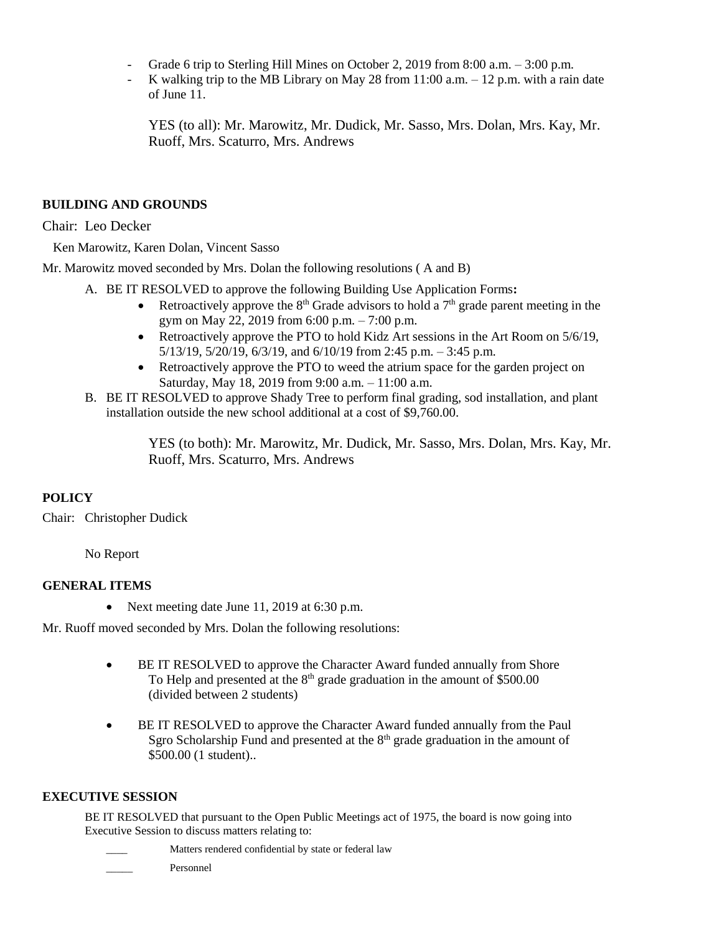- Grade 6 trip to Sterling Hill Mines on October 2, 2019 from 8:00 a.m. 3:00 p.m.
- K walking trip to the MB Library on May 28 from  $11:00$  a.m.  $-12$  p.m. with a rain date of June 11.

YES (to all): Mr. Marowitz, Mr. Dudick, Mr. Sasso, Mrs. Dolan, Mrs. Kay, Mr. Ruoff, Mrs. Scaturro, Mrs. Andrews

## **BUILDING AND GROUNDS**

Chair: Leo Decker

Ken Marowitz, Karen Dolan, Vincent Sasso

Mr. Marowitz moved seconded by Mrs. Dolan the following resolutions ( A and B)

- A. BE IT RESOLVED to approve the following Building Use Application Forms**:** 
	- Retroactively approve the  $8<sup>th</sup>$  Grade advisors to hold a  $7<sup>th</sup>$  grade parent meeting in the gym on May 22, 2019 from 6:00 p.m. – 7:00 p.m.
	- Retroactively approve the PTO to hold Kidz Art sessions in the Art Room on 5/6/19, 5/13/19, 5/20/19, 6/3/19, and 6/10/19 from 2:45 p.m. – 3:45 p.m.
	- Retroactively approve the PTO to weed the atrium space for the garden project on Saturday, May 18, 2019 from 9:00 a.m. – 11:00 a.m.
- B. BE IT RESOLVED to approve Shady Tree to perform final grading, sod installation, and plant installation outside the new school additional at a cost of \$9,760.00.

YES (to both): Mr. Marowitz, Mr. Dudick, Mr. Sasso, Mrs. Dolan, Mrs. Kay, Mr. Ruoff, Mrs. Scaturro, Mrs. Andrews

## **POLICY**

Chair: Christopher Dudick

No Report

## **GENERAL ITEMS**

• Next meeting date June 11, 2019 at 6:30 p.m.

Mr. Ruoff moved seconded by Mrs. Dolan the following resolutions:

- BE IT RESOLVED to approve the Character Award funded annually from Shore To Help and presented at the  $8<sup>th</sup>$  grade graduation in the amount of \$500.00 (divided between 2 students)
- BE IT RESOLVED to approve the Character Award funded annually from the Paul Sgro Scholarship Fund and presented at the  $8<sup>th</sup>$  grade graduation in the amount of \$500.00 (1 student)..

## **EXECUTIVE SESSION**

BE IT RESOLVED that pursuant to the Open Public Meetings act of 1975, the board is now going into Executive Session to discuss matters relating to:

- Matters rendered confidential by state or federal law
- \_\_\_\_\_ Personnel